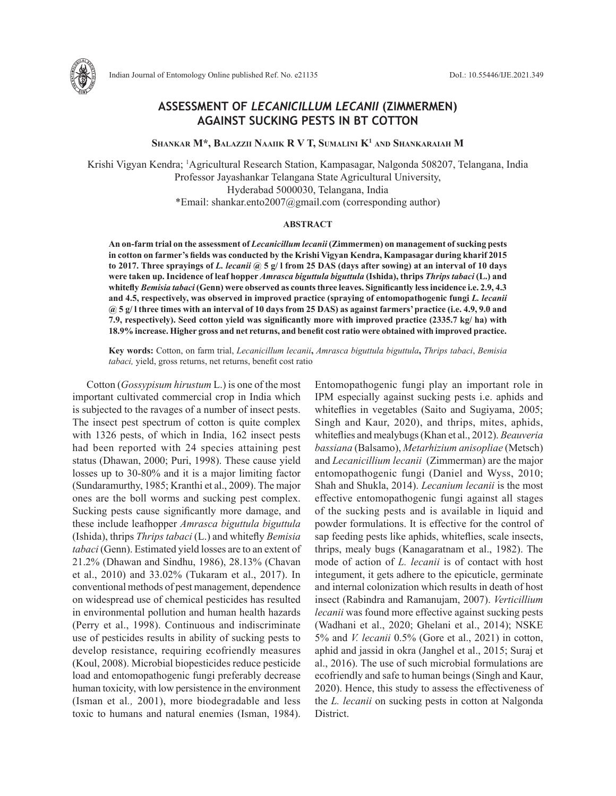

Indian Journal of Entomology Online published Ref. No. e21135 DoI.: 10.55446/IJE.2021.349

## **ASSESSMENT OF** *LECANICILLUM LECANII* **(ZIMMERMEN) AGAINST SUCKING PESTS IN BT COTTON**

**Shankar M\*, Balazzii Naaiik R V T, Sumalini K1 and Shankaraiah M**

Krishi Vigyan Kendra; 1 Agricultural Research Station, Kampasagar, Nalgonda 508207, Telangana, India Professor Jayashankar Telangana State Agricultural University, Hyderabad 5000030, Telangana, India \*Email: shankar.ento2007@gmail.com (corresponding author)

## **ABSTRACT**

**An on-farm trial on the assessment of** *Lecanicillum lecanii* **(Zimmermen) on management of sucking pests in cotton on farmer's fields was conducted by the Krishi Vigyan Kendra, Kampasagar during kharif 2015 to 2017. Three sprayings of** *L. lecanii* **@ 5 g/ l from 25 DAS (days after sowing) at an interval of 10 days were taken up. Incidence of leaf hopper** *Amrasca biguttula biguttula* **(Ishida), thrips** *Thrips tabaci* **(L.) and whitefly** *Bemisia tabaci* **(Genn) were observed as counts three leaves. Significantly less incidence i.e. 2.9, 4.3 and 4.5, respectively, was observed in improved practice (spraying of entomopathogenic fungi** *L. lecanii* **@ 5 g/ l three times with an interval of 10 days from 25 DAS) as against farmers' practice (i.e. 4.9, 9.0 and 7.9, respectively). Seed cotton yield was significantly more with improved practice (2335.7 kg/ ha) with 18.9% increase. Higher gross and net returns, and benefit cost ratio were obtained with improved practice.** 

**Key words:** Cotton, on farm trial, *Lecanicillum lecanii***,** *Amrasca biguttula biguttula***,** *Thrips tabaci*, *Bemisia tabaci,* yield, gross returns, net returns, benefit cost ratio

Cotton (*Gossypisum hirustum* L.) is one of the most important cultivated commercial crop in India which is subjected to the ravages of a number of insect pests. The insect pest spectrum of cotton is quite complex with 1326 pests, of which in India, 162 insect pests had been reported with 24 species attaining pest status (Dhawan, 2000; Puri, 1998). These cause yield losses up to 30-80% and it is a major limiting factor (Sundaramurthy, 1985; Kranthi et al., 2009). The major ones are the boll worms and sucking pest complex. Sucking pests cause significantly more damage, and these include leafhopper *Amrasca biguttula biguttula*  (Ishida), thrips *Thrips tabaci* (L.) and whitefly *Bemisia tabaci* (Genn). Estimated yield losses are to an extent of 21.2% (Dhawan and Sindhu, 1986), 28.13% (Chavan et al., 2010) and 33.02% (Tukaram et al., 2017). In conventional methods of pest management, dependence on widespread use of chemical pesticides has resulted in environmental pollution and human health hazards (Perry et al., 1998). Continuous and indiscriminate use of pesticides results in ability of sucking pests to develop resistance, requiring ecofriendly measures (Koul, 2008). Microbial biopesticides reduce pesticide load and entomopathogenic fungi preferably decrease human toxicity, with low persistence in the environment (Isman et al*.,* 2001), more biodegradable and less toxic to humans and natural enemies (Isman, 1984). Entomopathogenic fungi play an important role in IPM especially against sucking pests i.e. aphids and whiteflies in vegetables (Saito and Sugiyama, 2005; Singh and Kaur, 2020), and thrips, mites, aphids, whiteflies and mealybugs (Khan et al., 2012). *Beauveria bassiana* (Balsamo), *Metarhizium anisopliae* (Metsch) and *Lecanicillium lecanii* (Zimmerman) are the major entomopathogenic fungi (Daniel and Wyss, 2010; Shah and Shukla, 2014). *Lecanium lecanii* is the most effective entomopathogenic fungi against all stages of the sucking pests and is available in liquid and powder formulations. It is effective for the control of sap feeding pests like aphids, whiteflies, scale insects, thrips, mealy bugs (Kanagaratnam et al., 1982). The mode of action of *L. lecanii* is of contact with host integument, it gets adhere to the epicuticle, germinate and internal colonization which results in death of host insect (Rabindra and Ramanujam, 2007). *Verticillium lecanii* was found more effective against sucking pests (Wadhani et al., 2020; Ghelani et al., 2014); NSKE 5% and *V. lecanii* 0.5% (Gore et al., 2021) in cotton, aphid and jassid in okra (Janghel et al., 2015; Suraj et al., 2016). The use of such microbial formulations are ecofriendly and safe to human beings (Singh and Kaur, 2020). Hence, this study to assess the effectiveness of the *L. lecanii* on sucking pests in cotton at Nalgonda District.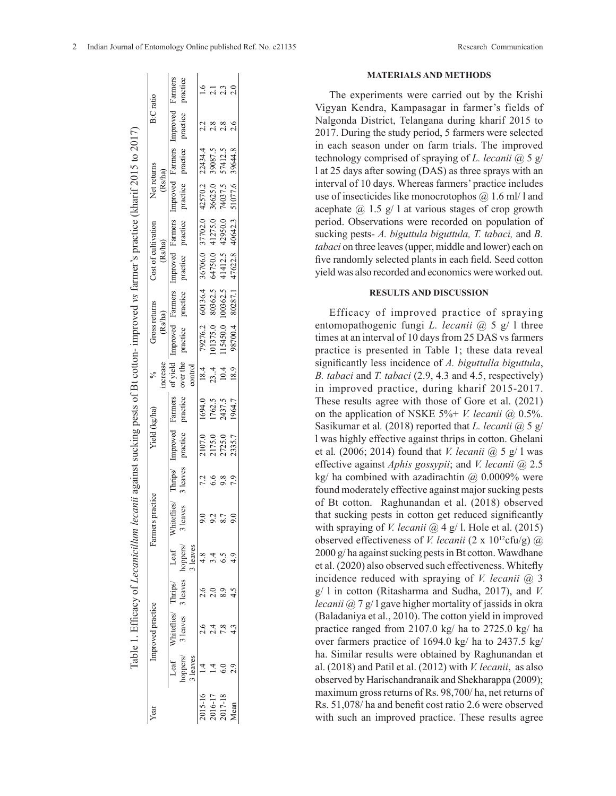| Improved practice   |          | Farmers practice |        | Yield (kg/ha)            |          | increase |          | iross returns<br>Rs/ha) | Cost of cultivation<br>(Rs/ha) |          | Net returns<br>Rs/ha)                                               |          | B:C ratio |          |
|---------------------|----------|------------------|--------|--------------------------|----------|----------|----------|-------------------------|--------------------------------|----------|---------------------------------------------------------------------|----------|-----------|----------|
| Whiteflies/ Thrips/ | Leaf     | Whiteflies/      |        | Thrips/ Improved Farmers |          | of yield |          |                         |                                |          | Improved Farmers Improved Farmers Improved Farmers Improved Farmers |          |           |          |
| 3 leaves 3 leaves 1 | hoppers/ | leaves           | leaves | oractice                 | practice | over the | practice | practice                | practice                       | practice | practice                                                            | practice | practice  | practice |
|                     | leaves   |                  |        |                          |          | control  |          |                         |                                |          |                                                                     |          |           |          |
|                     |          |                  | 7.2    | 2107.0                   | 1694.0   | 18.4     |          |                         |                                |          | 79276.2 60136.4 36706.0 37702.0 42570.2                             | 22434.4  |           |          |
|                     |          |                  | 6.6    | 2175.0                   | 1762.5   | 23.4     | 01375.0  | 80362.5                 | 64750.0                        | 41275.0  | 36625.0                                                             | 39087.5  |           |          |
|                     |          |                  | 9.8    | 2725.0                   | 2437.5   | 10.4     | 15450.0  | 100362.5                | 41412.5                        | 42950.0  | 74037.5                                                             | 57412.5  |           | 2.3      |
|                     |          |                  |        | 2335.7                   | 1964.7   | 18.9     | 98700.4  | 80287.1                 | 47622.8                        | 40642.3  | 51077.6                                                             | 39644.8  |           |          |

|                                                                               | B:C rat                      |
|-------------------------------------------------------------------------------|------------------------------|
| $(1, 1, 2, 3, 4)$ and $(2, 1, 1, 2)$<br>$\sim$ $\sim$ $\sim$<br>$\frac{1}{2}$ | et returns                   |
| e farmar <sup>3</sup> e practica (L                                           | Cost of cultivation          |
|                                                                               | ross return:                 |
|                                                                               |                              |
| nil against sucking pests of Bt cotton- improved vs tarmer's pre-             | <b>(mind rini)</b><br>ا اسدا |
| cillum l                                                                      | rarmers r                    |
|                                                                               |                              |

| <b>MATERIALS AND METHODS</b>                   |  |
|------------------------------------------------|--|
| The experiments were carried out by the Krishi |  |
| ruan Kondus Komposeoran in forman's fields of  |  |

Vigyan Kendra, Kampasagar in farmer's fields of Nalgonda District, Telangana during kharif 2015 to 2017. During the study period, 5 farmers were selected in each season under on farm trials. The improved technology comprised of spraying of *L. lecanii* @ 5 g/ l at 25 days after sowing (DAS) as three sprays with an interval of 10 days. Whereas farmers' practice includes use of insecticides like monocrotophos  $(a)$  1.6 ml/ l and acephate  $\omega$  1.5 g/ 1 at various stages of crop growth period. Observations were recorded on population of sucking pests- *A. biguttula biguttula, T. tabaci,* and *B. tabaci* on three leaves (upper, middle and lower) each on five randomly selected plants in each field. Seed cotton yield was also recorded and economics were worked out.

## **RESULTS AND DISCUSSION**

Efficacy of improved practice of spraying entomopathogenic fungi *L. lecanii* @ 5 g/ l three times at an interval of 10 days from 25 DAS vs farmers practice is presented in Table 1; these data reveal significantly less incidence of *A. biguttulla biguttula*, *B. tabaci* and *T. tabaci* (2.9, 4.3 and 4.5, respectively) in improved practice, during kharif 2015-2017. These results agree with those of Gore et al. (2021) on the application of NSKE 5%+ *V. lecanii* @ 0.5%. Sasikumar et al*.* (2018) reported that *L. lecanii* @ 5 g/ l was highly effective against thrips in cotton. Ghelani et al*.* (2006; 2014) found that *V. lecanii* @ 5 g/ l was effective against *Aphis gossypii*; and *V. lecanii @* 2.5 kg/ ha combined with azadirachtin  $\omega$  0.0009% were found moderately effective against major sucking pests of Bt cotton. Raghunandan et al. (2018) observed that sucking pests in cotton get reduced significantly with spraying of *V. lecanii* @ 4 g/ l. Hole et al. (2015) observed effectiveness of *V. lecanii* (2 x 10<sup>12</sup>cfu/g) @ 2000 g/ ha against sucking pests in Bt cotton. Wawdhane et al. (2020) also observed such effectiveness. Whitefly incidence reduced with spraying of *V. lecanii* @ 3 g/ l in cotton (Ritasharma and Sudha, 2017), and *V. lecanii* @ 7 g/ l gave higher mortality of jassids in okra (Baladaniya et al., 2010). The cotton yield in improved practice ranged from 2107.0 kg/ ha to 2725.0 kg/ ha over farmers practice of 1694.0 kg/ ha to 2437.5 kg/ ha. Similar results were obtained by Raghunandan et al. (2018) and Patil et al. (2012) with *V. lecanii*, as also observed by Harischandranaik and Shekharappa (2009); maximum gross returns of Rs. 98,700/ ha, net returns of Rs. 51,078/ ha and benefit cost ratio 2.6 were observed with such an improved practice. These results agree